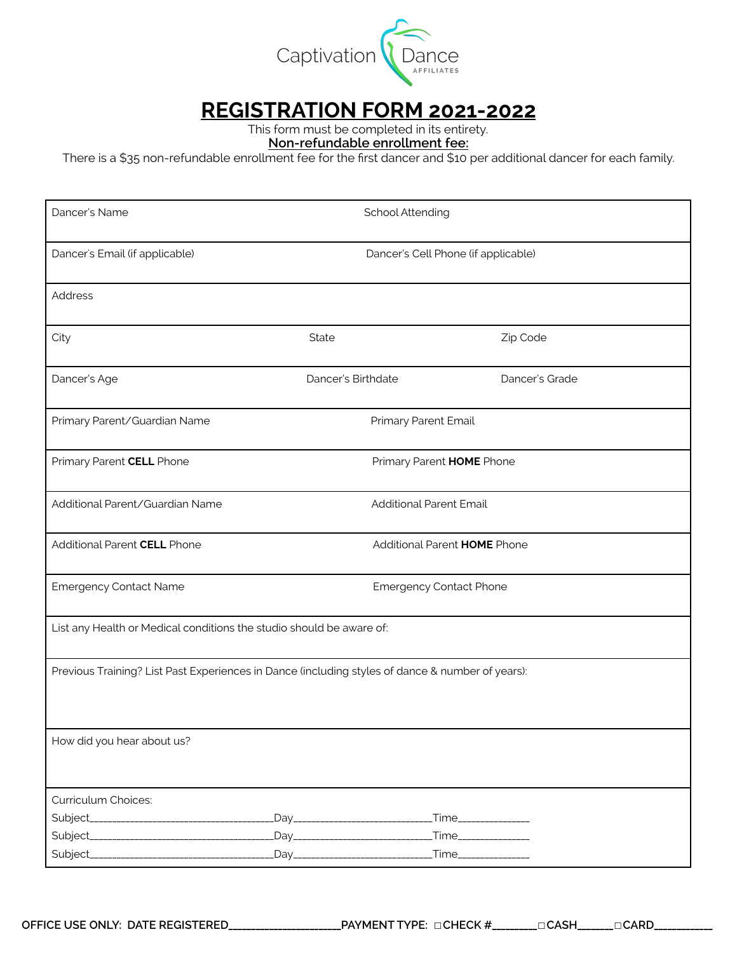

## **REGISTRATION FORM 2021-2022**

This form must be completed in its entirety.

**Non-refundable enrollment fee:** 

There is a \$35 non-refundable enrollment fee for the frst dancer and \$10 per additional dancer for each family.

| Dancer's Name                                                                                    |                                    | School Attending               |                                     |  |
|--------------------------------------------------------------------------------------------------|------------------------------------|--------------------------------|-------------------------------------|--|
| Dancer's Email (if applicable)                                                                   |                                    |                                | Dancer's Cell Phone (if applicable) |  |
| Address                                                                                          |                                    |                                |                                     |  |
| City                                                                                             | State                              |                                | Zip Code                            |  |
| Dancer's Age                                                                                     | Dancer's Birthdate                 |                                | Dancer's Grade                      |  |
| Primary Parent/Guardian Name                                                                     | Primary Parent Email               |                                |                                     |  |
| Primary Parent CELL Phone                                                                        | Primary Parent HOME Phone          |                                |                                     |  |
| Additional Parent/Guardian Name                                                                  |                                    | <b>Additional Parent Email</b> |                                     |  |
| Additional Parent CELL Phone                                                                     |                                    | Additional Parent HOME Phone   |                                     |  |
| <b>Emergency Contact Name</b>                                                                    | <b>Emergency Contact Phone</b>     |                                |                                     |  |
| List any Health or Medical conditions the studio should be aware of:                             |                                    |                                |                                     |  |
| Previous Training? List Past Experiences in Dance (including styles of dance & number of years): |                                    |                                |                                     |  |
|                                                                                                  |                                    |                                |                                     |  |
| How did you hear about us?                                                                       |                                    |                                |                                     |  |
| Curriculum Choices:                                                                              |                                    |                                |                                     |  |
|                                                                                                  | _Day______________________________ |                                | _Time_______________                |  |
|                                                                                                  |                                    |                                | _Time_______________                |  |
|                                                                                                  |                                    |                                | _Time_______________                |  |